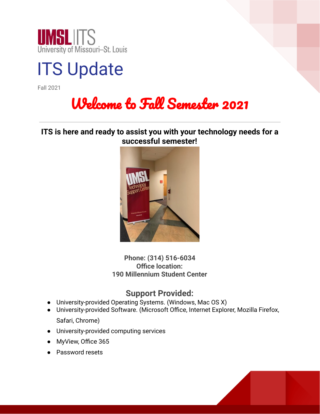



Fall 2021

# Welcome to Fall Semester 2021

**ITS is here and ready to assist you with your technology needs for a successful semester!**



**Phone: (314) 516-6034 Office location: 190 Millennium Student Center**

## **Support Provided:**

- University-provided Operating Systems. (Windows, Mac OS X)
- University-provided Software. (Microsoft Office, Internet Explorer, Mozilla Firefox, Safari, Chrome)
- University-provided computing services
- MyView, Office 365
- Password resets

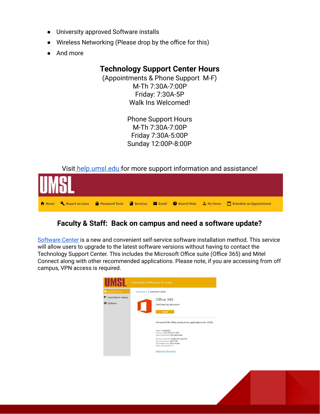- University approved Software installs
- Wireless Networking (Please drop by the office for this)
- And more

## **Technology Support Center Hours**

(Appointments & Phone Support M-F) M-Th 7:30A-7:00P Friday: 7:30A-5P Walk Ins Welcomed!

> Phone Support Hours M-Th 7:30A-7:00P Friday 7:30A-5:00P Sunday 12:00P-8:00P

Visit [help.umsl.edu](https://cherwell.umsystem.edu/CherwellPortal/umslitportal?_=7d43611f#0) for more support information and assistance!



## **Faculty & Staff: Back on campus and need a software update?**

[Software](http://www.umsl.edu/technology/software-center.html) Center is a new and convenient self-service software installation method. This service will allow users to upgrade to the latest software versions without having to contact the Technology Support Center. This includes the Microsoft Office suite (Office 365) and Mitel Connect along with other recommended applications. Please note, if you are accessing from off campus, VPN access is required.



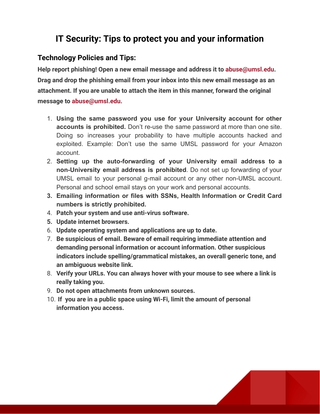## **IT Security: Tips to protect you and your information**

#### **Technology Policies and Tips:**

**Help report phishing! Open a new email message and address it to abuse@umsl.edu. Drag and drop the phishing email from your inbox into this new email message as an attachment. If you are unable to attach the item in this manner, forward the original message to abuse@umsl.edu.**

- 1. **Using the same password you use for your University account for other accounts is prohibited.** Don't re-use the same password at more than one site. Doing so increases your probability to have multiple accounts hacked and exploited. Example: Don't use the same UMSL password for your Amazon account.
- 2. **Setting up the auto-forwarding of your University email address to a non-University email address is prohibited**. Do not set up forwarding of your UMSL email to your personal g-mail account or any other non-UMSL account. Personal and school email stays on your work and personal accounts.
- **3. Emailing information or files with SSNs, Health Information or Credit Card numbers is strictly prohibited.**
- 4. **Patch your system and use anti-virus software.**
- **5. Update internet browsers.**
- 6. **Update operating system and applications are up to date.**
- 7. **Be suspicious of email. Beware of email requiring immediate attention and demanding personal information or account information. Other suspicious indicators include spelling/grammatical mistakes, an overall generic tone, and an ambiguous website link.**
- 8. **Verify your URLs. You can always hover with your mouse to see where a link is really taking you.**
- 9. **Do not open attachments from unknown sources.**
- 10. **If you are in a public space using Wi-Fi, limit the amount of personal information you access.**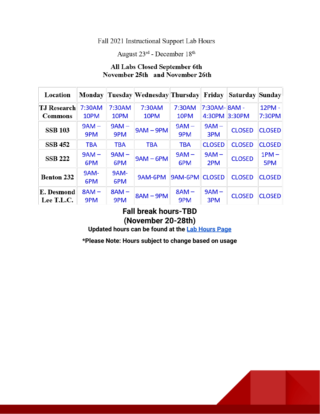#### Fall 2021 Instructional Support Lab Hours

August 23rd - December 18th

## All Labs Closed September 6th November 25th and November 26th

| Location                      |                |                | Monday Tuesday Wednesday Thursday Friday |                |                       | Saturday Sunday |                  |
|-------------------------------|----------------|----------------|------------------------------------------|----------------|-----------------------|-----------------|------------------|
| <b>TJ Research</b><br>Commons | 7:30AM<br>10PM | 7:30AM<br>10PM | 7:30AM<br>10PM                           | 7:30AM<br>10PM | 7:30AM-8AM-<br>4:30PM | 3:30PM          | 12PM -<br>7:30PM |
| <b>SSB 103</b>                | $9AM -$<br>9PM | $9AM -$<br>9PM | $9AM - 9PM$                              | $9AM -$<br>9PM | $9AM -$<br>3PM        | <b>CLOSED</b>   | <b>CLOSED</b>    |
| <b>SSB 452</b>                | <b>TBA</b>     | <b>TBA</b>     | <b>TBA</b>                               | <b>TBA</b>     | <b>CLOSED</b>         | <b>CLOSED</b>   | <b>CLOSED</b>    |
| <b>SSB 222</b>                | $9AM -$<br>6PM | $9AM -$<br>6PM | $9AM - 6PM$                              | $9AM -$<br>6PM | $9AM -$<br>2PM        | <b>CLOSED</b>   | $1PM -$<br>5PM   |
| <b>Benton 232</b>             | 9AM-<br>6PM    | 9AM-<br>6PM    | 9AM-6PM                                  | 9AM-6PM        | <b>CLOSED</b>         | <b>CLOSED</b>   | <b>CLOSED</b>    |
| E. Desmond<br>Lee T.L.C.      | $8AM -$<br>9PM | $8AM -$<br>9PM | $8AM - 9PM$                              | $8AM -$<br>9PM | $9AM -$<br>3PM        | <b>CLOSED</b>   | <b>CLOSED</b>    |

## **Fall break hours-TBD (November 20-28th)**

**Updated hours can be found at the Lab [Hours](https://www.umsl.edu/technology/iss/Student%20Labs/labhours.html) Page**

**\*Please Note: Hours subject to change based on usage**